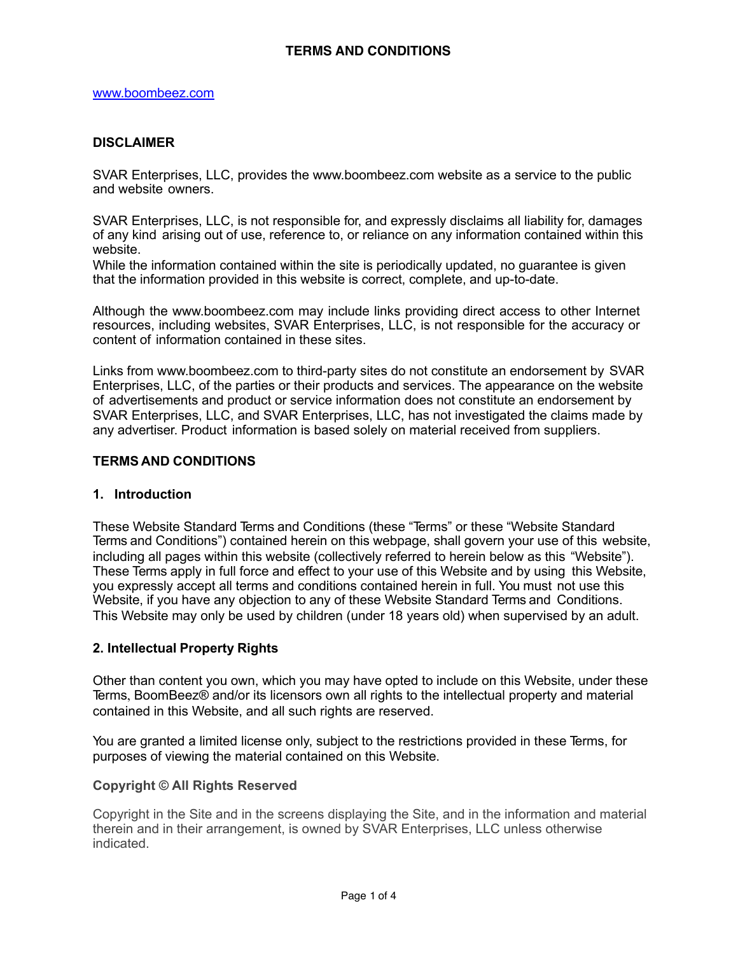### **DISCLAIMER**

SVAR Enterprises, LLC, provides the [www.boombeez.com](http://www.boombeez.com/) website as a service to the public and website owners.

SVAR Enterprises, LLC, is not responsible for, and expressly disclaims all liability for, damages of any kind arising out of use, reference to, or reliance on any information contained within this website.

While the information contained within the site is periodically updated, no guarantee is given that the information provided in this website is correct, complete, and up-to-date.

Although the [www.boombeez.com](http://www.boombeez.com/) may include links providing direct access to other Internet resources, including websites, SVAR Enterprises, LLC, is not responsible for the accuracy or content of information contained in these sites.

Links from [www.boombeez.com](http://www.boombeez.com/) to third-party sites do not constitute an endorsement by SVAR Enterprises, LLC, of the parties or their products and services. The appearance on the website of advertisements and product or service information does not constitute an endorsement by SVAR Enterprises, LLC, and SVAR Enterprises, LLC, has not investigated the claims made by any advertiser. Product information is based solely on material received from suppliers.

#### **TERMS AND CONDITIONS**

#### **1. Introduction**

These Website Standard Terms and Conditions (these "Terms" or these "Website Standard Terms and Conditions") contained herein on this webpage, shall govern your use of this website, including all pages within this website (collectively referred to herein below as this "Website"). These Terms apply in full force and effect to your use of this Website and by using this Website, you expressly accept all terms and conditions contained herein in full. You must not use this Website, if you have any objection to any of these Website Standard Terms and Conditions. This Website may only be used by children (under 18 years old) when supervised by an adult.

#### **2. Intellectual Property Rights**

Other than content you own, which you may have opted to include on this Website, under these Terms, BoomBeez® and/or its licensors own all rights to the intellectual property and material contained in this Website, and all such rights are reserved.

You are granted a limited license only, subject to the restrictions provided in these Terms, for purposes of viewing the material contained on this Website.

#### **Copyright © All Rights Reserved**

Copyright in the Site and in the screens displaying the Site, and in the information and material therein and in their arrangement, is owned by SVAR Enterprises, LLC unless otherwise indicated.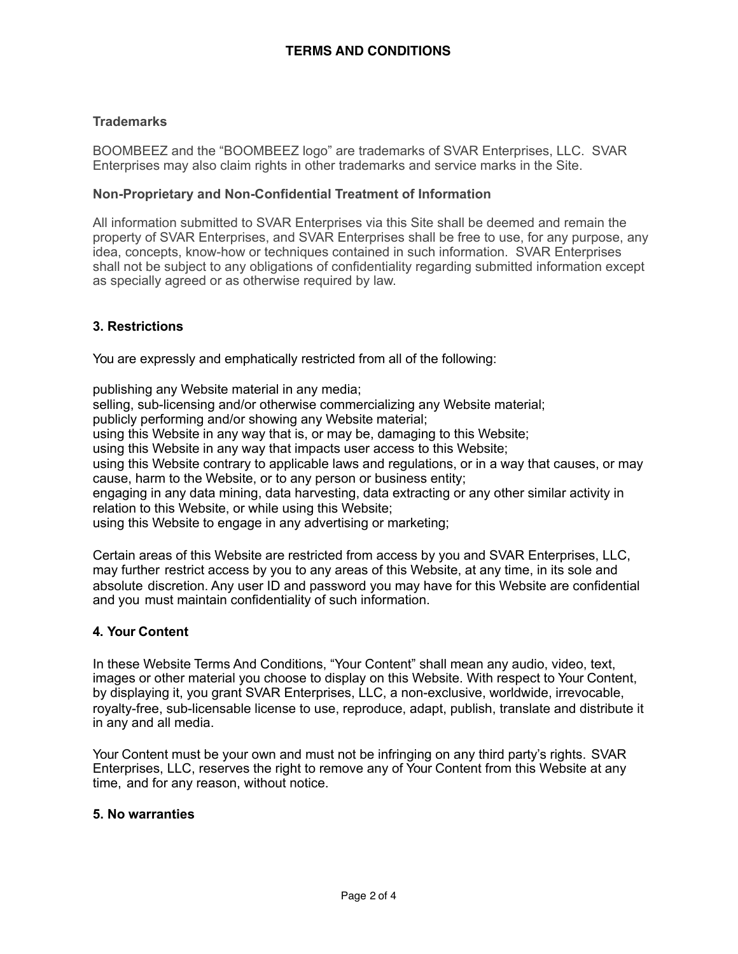## **Trademarks**

BOOMBEEZ and the "BOOMBEEZ logo" are trademarks of SVAR Enterprises, LLC. SVAR Enterprises may also claim rights in other trademarks and service marks in the Site.

### **Non-Proprietary and Non-Confidential Treatment of Information**

All information submitted to SVAR Enterprises via this Site shall be deemed and remain the property of SVAR Enterprises, and SVAR Enterprises shall be free to use, for any purpose, any idea, concepts, know-how or techniques contained in such information. SVAR Enterprises shall not be subject to any obligations of confidentiality regarding submitted information except as specially agreed or as otherwise required by law.

# **3. Restrictions**

You are expressly and emphatically restricted from all of the following:

publishing any Website material in any media; selling, sub-licensing and/or otherwise commercializing any Website material; publicly performing and/or showing any Website material; using this Website in any way that is, or may be, damaging to this Website; using this Website in any way that impacts user access to this Website; using this Website contrary to applicable laws and regulations, or in a way that causes, or may cause, harm to the Website, or to any person or business entity; engaging in any data mining, data harvesting, data extracting or any other similar activity in relation to this Website, or while using this Website; using this Website to engage in any advertising or marketing;

Certain areas of this Website are restricted from access by you and SVAR Enterprises, LLC, may further restrict access by you to any areas of this Website, at any time, in its sole and absolute discretion. Any user ID and password you may have for this Website are confidential and you must maintain confidentiality of such information.

## **4. Your Content**

In these Website Terms And Conditions, "Your Content" shall mean any audio, video, text, images or other material you choose to display on this Website. With respect to Your Content, by displaying it, you grant SVAR Enterprises, LLC, a non-exclusive, worldwide, irrevocable, royalty-free, sub-licensable license to use, reproduce, adapt, publish, translate and distribute it in any and all media.

Your Content must be your own and must not be infringing on any third party's rights. SVAR Enterprises, LLC, reserves the right to remove any of Your Content from this Website at any time, and for any reason, without notice.

#### **5. No warranties**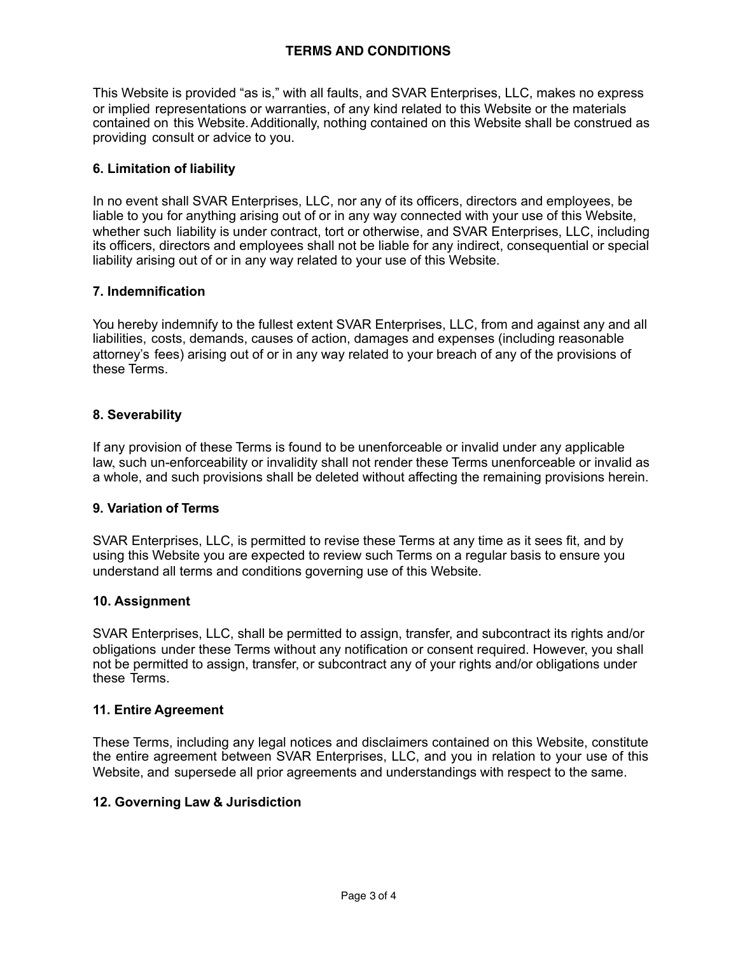This Website is provided "as is," with all faults, and SVAR Enterprises, LLC, makes no express or implied representations or warranties, of any kind related to this Website or the materials contained on this Website.Additionally, nothing contained on this Website shall be construed as providing consult or advice to you.

# **6. Limitation of liability**

In no event shall SVAR Enterprises, LLC, nor any of its officers, directors and employees, be liable to you for anything arising out of or in any way connected with your use of this Website, whether such liability is under contract, tort or otherwise, and SVAR Enterprises, LLC, including its officers, directors and employees shall not be liable for any indirect, consequential or special liability arising out of or in any way related to your use of this Website.

## **7. Indemnification**

You hereby indemnify to the fullest extent SVAR Enterprises, LLC, from and against any and all liabilities, costs, demands, causes of action, damages and expenses (including reasonable attorney's fees) arising out of or in any way related to your breach of any of the provisions of these Terms.

# **8. Severability**

If any provision of these Terms is found to be unenforceable or invalid under any applicable law, such un-enforceability or invalidity shall not render these Terms unenforceable or invalid as a whole, and such provisions shall be deleted without affecting the remaining provisions herein.

## **9. Variation of Terms**

SVAR Enterprises, LLC, is permitted to revise these Terms at any time as it sees fit, and by using this Website you are expected to review such Terms on a regular basis to ensure you understand all terms and conditions governing use of this Website.

#### **10. Assignment**

SVAR Enterprises, LLC, shall be permitted to assign, transfer, and subcontract its rights and/or obligations under these Terms without any notification or consent required. However, you shall not be permitted to assign, transfer, or subcontract any of your rights and/or obligations under these Terms.

## **11. Entire Agreement**

These Terms, including any legal notices and disclaimers contained on this Website, constitute the entire agreement between SVAR Enterprises, LLC, and you in relation to your use of this Website, and supersede all prior agreements and understandings with respect to the same.

## **12. Governing Law & Jurisdiction**